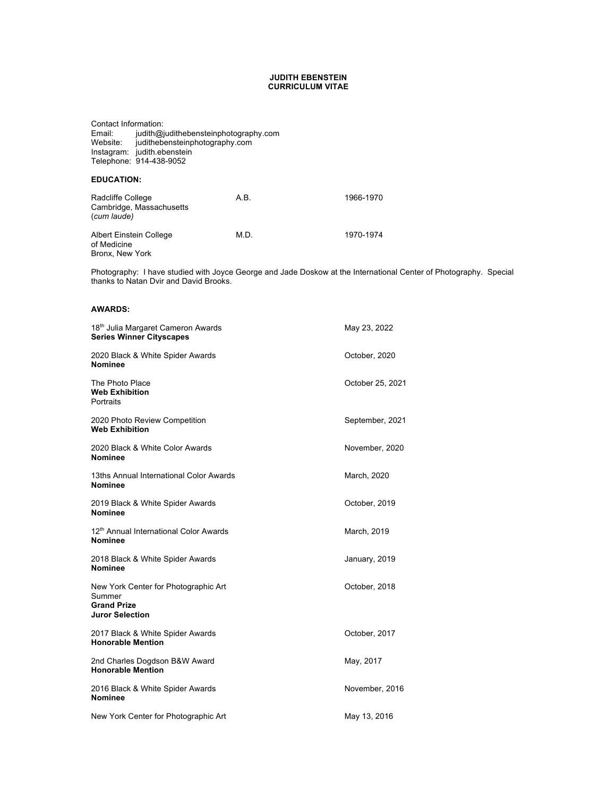#### **JUDITH EBENSTEIN CURRICULUM VITAE**

Contact Information: Email: judith@judithebensteinphotography.com Website: judithebensteinphotography.com Instagram: judith.ebenstein Telephone: 914-438-9052

#### **EDUCATION:**

| Radcliffe College<br>Cambridge, Massachusetts<br>(cum laude) | A.B. | 1966-1970 |
|--------------------------------------------------------------|------|-----------|
| Albert Einstein College<br>of Medicine<br>Bronx, New York    | M.D. | 1970-1974 |

Photography: I have studied with Joyce George and Jade Doskow at the International Center of Photography. Special thanks to Natan Dvir and David Brooks.

#### **AWARDS:**

| 18 <sup>th</sup> Julia Margaret Cameron Awards<br><b>Series Winner Cityscapes</b>       | May 23, 2022     |
|-----------------------------------------------------------------------------------------|------------------|
| 2020 Black & White Spider Awards<br><b>Nominee</b>                                      | October, 2020    |
| The Photo Place<br><b>Web Exhibition</b><br>Portraits                                   | October 25, 2021 |
| 2020 Photo Review Competition<br><b>Web Exhibition</b>                                  | September, 2021  |
| 2020 Black & White Color Awards<br><b>Nominee</b>                                       | November, 2020   |
| 13ths Annual International Color Awards<br><b>Nominee</b>                               | March, 2020      |
| 2019 Black & White Spider Awards<br><b>Nominee</b>                                      | October, 2019    |
| 12th Annual International Color Awards<br><b>Nominee</b>                                | March, 2019      |
| 2018 Black & White Spider Awards<br><b>Nominee</b>                                      | January, 2019    |
| New York Center for Photographic Art<br>Summer<br><b>Grand Prize</b><br>Juror Selection | October, 2018    |
| 2017 Black & White Spider Awards<br><b>Honorable Mention</b>                            | October, 2017    |
| 2nd Charles Dogdson B&W Award<br><b>Honorable Mention</b>                               | May, 2017        |
| 2016 Black & White Spider Awards<br><b>Nominee</b>                                      | November, 2016   |
| New York Center for Photographic Art                                                    | May 13, 2016     |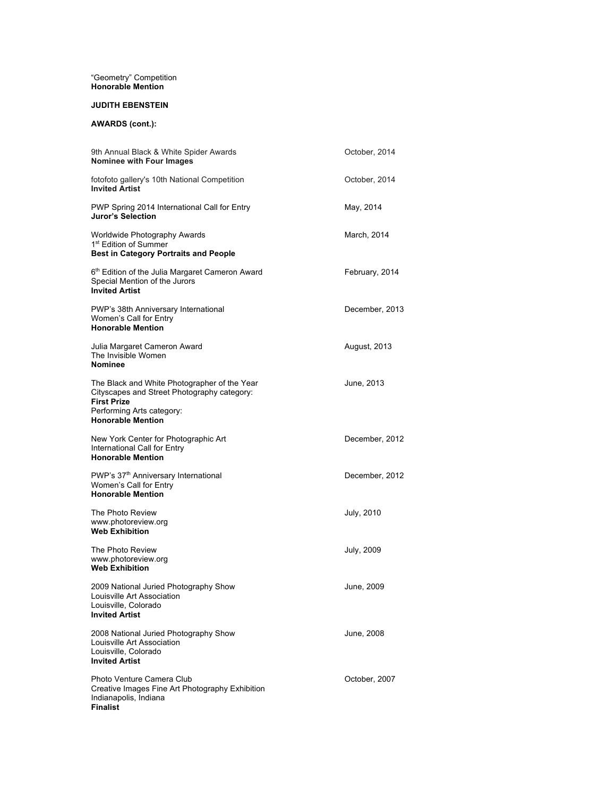#### "Geometry" Competition **Honorable Mention**

#### **JUDITH EBENSTEIN**

# **AWARDS (cont.):**

| 9th Annual Black & White Spider Awards<br><b>Nominee with Four Images</b>                                                                                                  | October, 2014  |
|----------------------------------------------------------------------------------------------------------------------------------------------------------------------------|----------------|
| fotofoto gallery's 10th National Competition<br><b>Invited Artist</b>                                                                                                      | October, 2014  |
| PWP Spring 2014 International Call for Entry<br>Juror's Selection                                                                                                          | May, 2014      |
| Worldwide Photography Awards<br>1 <sup>st</sup> Edition of Summer<br><b>Best in Category Portraits and People</b>                                                          | March, 2014    |
| 6 <sup>th</sup> Edition of the Julia Margaret Cameron Award<br>Special Mention of the Jurors<br><b>Invited Artist</b>                                                      | February, 2014 |
| PWP's 38th Anniversary International<br>Women's Call for Entry<br><b>Honorable Mention</b>                                                                                 | December, 2013 |
| Julia Margaret Cameron Award<br>The Invisible Women<br>Nominee                                                                                                             | August, 2013   |
| The Black and White Photographer of the Year<br>Cityscapes and Street Photography category:<br><b>First Prize</b><br>Performing Arts category:<br><b>Honorable Mention</b> | June, 2013     |
| New York Center for Photographic Art<br>International Call for Entry<br><b>Honorable Mention</b>                                                                           | December, 2012 |
| PWP's 37 <sup>th</sup> Anniversary International<br>Women's Call for Entry<br><b>Honorable Mention</b>                                                                     | December, 2012 |
| The Photo Review<br>www.photoreview.org<br><b>Web Exhibition</b>                                                                                                           | July, 2010     |
| The Photo Review<br>www.photoreview.org<br><b>Web Exhibition</b>                                                                                                           | July, 2009     |
| 2009 National Juried Photography Show<br>Louisville Art Association<br>Louisville, Colorado<br><b>Invited Artist</b>                                                       | June, 2009     |
| 2008 National Juried Photography Show<br>Louisville Art Association<br>Louisville, Colorado<br><b>Invited Artist</b>                                                       | June, 2008     |
| Photo Venture Camera Club<br>Creative Images Fine Art Photography Exhibition<br>Indianapolis, Indiana<br><b>Finalist</b>                                                   | October, 2007  |
|                                                                                                                                                                            |                |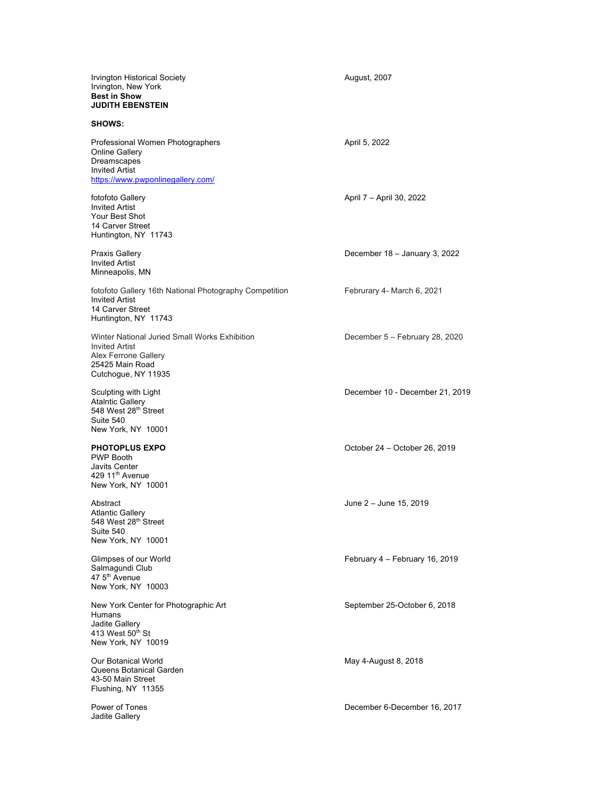| Irvington Historical Society<br>Irvington, New York<br><b>Best in Show</b><br><b>JUDITH EBENSTEIN</b>                                    | August, 2007                    |
|------------------------------------------------------------------------------------------------------------------------------------------|---------------------------------|
| <b>SHOWS:</b>                                                                                                                            |                                 |
| Professional Women Photographers<br><b>Online Gallery</b><br>Dreamscapes<br><b>Invited Artist</b><br>https://www.pwponlinegallery.com/   | April 5, 2022                   |
| fotofoto Gallery<br><b>Invited Artist</b><br>Your Best Shot<br>14 Carver Street<br>Huntington, NY 11743                                  | April 7 – April 30, 2022        |
| <b>Praxis Gallery</b><br><b>Invited Artist</b><br>Minneapolis, MN                                                                        | December 18 - January 3, 2022   |
| fotofoto Gallery 16th National Photography Competition<br><b>Invited Artist</b><br>14 Carver Street<br>Huntington, NY 11743              | Februrary 4- March 6, 2021      |
| Winter National Juried Small Works Exhibition<br><b>Invited Artist</b><br>Alex Ferrone Gallery<br>25425 Main Road<br>Cutchogue, NY 11935 | December 5 - February 28, 2020  |
| Sculpting with Light<br><b>Ataintic Gallery</b><br>548 West 28 <sup>th</sup> Street<br>Suite 540<br>New York, NY 10001                   | December 10 - December 21, 2019 |
| <b>PHOTOPLUS EXPO</b><br><b>PWP Booth</b><br><b>Javits Center</b><br>429 11 <sup>th</sup> Avenue<br>New York, NY 10001                   | October 24 - October 26, 2019   |
| Abstract<br><b>Atlantic Gallery</b><br>548 West 28th Street<br>Suite 540<br>New York, NY 10001                                           | June 2 - June 15, 2019          |
| Glimpses of our World<br>Salmagundi Club<br>47 5 <sup>th</sup> Avenue<br>New York, NY 10003                                              | February 4 - February 16, 2019  |
| New York Center for Photographic Art<br>Humans<br>Jadite Gallery<br>413 West 50th St<br>New York, NY 10019                               | September 25-October 6, 2018    |
| Our Botanical World<br>Queens Botanical Garden<br>43-50 Main Street<br>Flushing, NY 11355                                                | May 4-August 8, 2018            |
| Power of Tones<br>Jadite Gallery                                                                                                         | December 6-December 16, 2017    |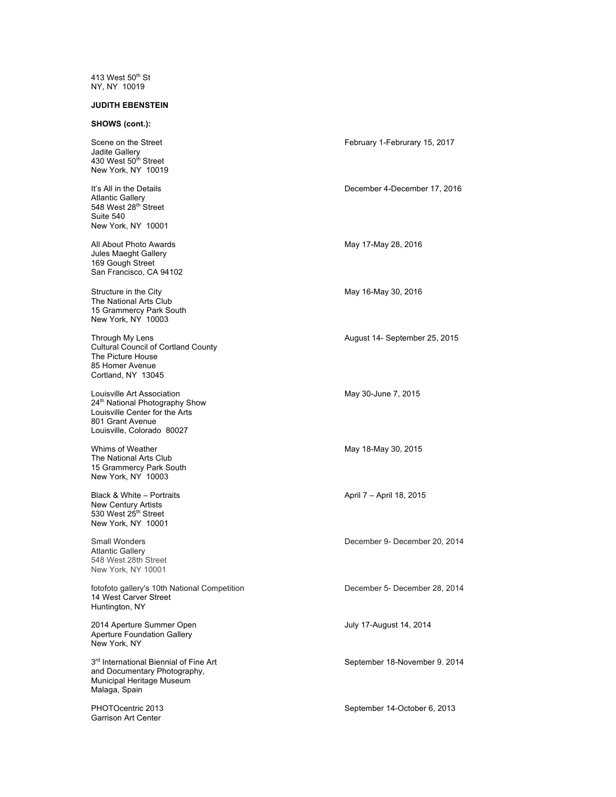413 West 50<sup>th</sup> St NY, NY 10019

# **JUDITH EBENSTEIN**

# **SHOWS (cont.):**

| Scene on the Street<br>Jadite Gallery<br>430 West 50 <sup>th</sup> Street<br>New York, NY 10019                                                  | February 1-Februrary 15, 2017 |
|--------------------------------------------------------------------------------------------------------------------------------------------------|-------------------------------|
| It's All in the Details<br><b>Atlantic Gallery</b><br>548 West 28th Street<br>Suite 540<br>New York, NY 10001                                    | December 4-December 17, 2016  |
| All About Photo Awards<br>Jules Maeght Gallery<br>169 Gough Street<br>San Francisco, CA 94102                                                    | May 17-May 28, 2016           |
| Structure in the City<br>The National Arts Club<br>15 Grammercy Park South<br>New York, NY 10003                                                 | May 16-May 30, 2016           |
| Through My Lens<br><b>Cultural Council of Cortland County</b><br>The Picture House<br>85 Homer Avenue<br>Cortland, NY 13045                      | August 14- September 25, 2015 |
| Louisville Art Association<br>24th National Photography Show<br>Louisville Center for the Arts<br>801 Grant Avenue<br>Louisville, Colorado 80027 | May 30-June 7, 2015           |
| Whims of Weather<br>The National Arts Club<br>15 Grammercy Park South<br>New York, NY 10003                                                      | May 18-May 30, 2015           |
| Black & White - Portraits<br>New Century Artists<br>530 West 25 <sup>th</sup> Street<br>New York, NY 10001                                       | April 7 – April 18, 2015      |
| <b>Small Wonders</b><br><b>Atlantic Gallery</b><br>548 West 28th Street<br>New York, NY 10001                                                    | December 9- December 20, 2014 |
| fotofoto gallery's 10th National Competition<br>14 West Carver Street<br>Huntington, NY                                                          | December 5- December 28, 2014 |
| 2014 Aperture Summer Open<br><b>Aperture Foundation Gallery</b><br>New York, NY                                                                  | July 17-August 14, 2014       |
| 3rd International Biennial of Fine Art<br>and Documentary Photography,<br>Municipal Heritage Museum<br>Malaga, Spain                             | September 18-November 9. 2014 |
| PHOTOcentric 2013<br>Garrison Art Center                                                                                                         | September 14-October 6, 2013  |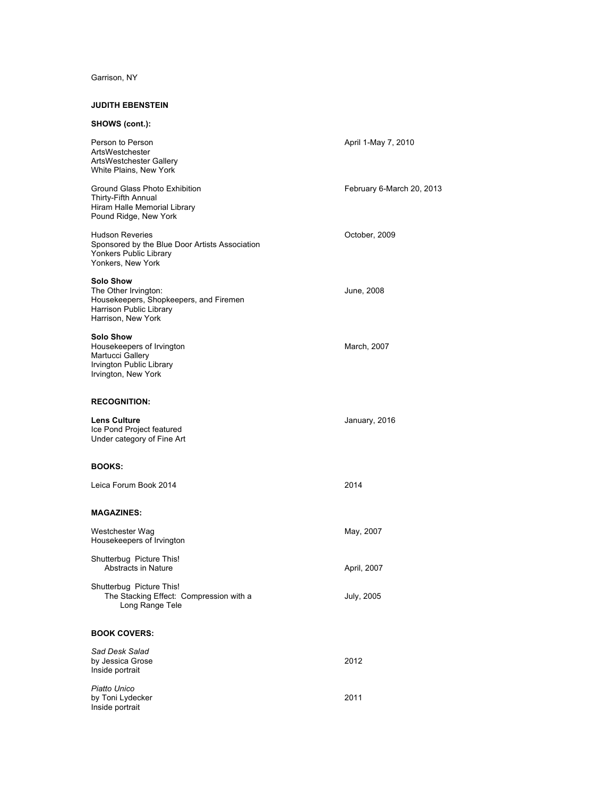# Garrison, NY

# **JUDITH EBENSTEIN**

| SHOWS (cont.):                                                                                                                      |                           |
|-------------------------------------------------------------------------------------------------------------------------------------|---------------------------|
| Person to Person<br>ArtsWestchester<br>ArtsWestchester Gallery<br>White Plains, New York                                            | April 1-May 7, 2010       |
| Ground Glass Photo Exhibition<br>Thirty-Fifth Annual<br>Hiram Halle Memorial Library<br>Pound Ridge, New York                       | February 6-March 20, 2013 |
| <b>Hudson Reveries</b><br>Sponsored by the Blue Door Artists Association<br>Yonkers Public Library<br>Yonkers, New York             | October, 2009             |
| <b>Solo Show</b><br>The Other Irvington:<br>Housekeepers, Shopkeepers, and Firemen<br>Harrison Public Library<br>Harrison, New York | June, 2008                |
| <b>Solo Show</b><br>Housekeepers of Irvington<br>Martucci Gallery<br>Irvington Public Library<br>Irvington, New York                | March, 2007               |
| <b>RECOGNITION:</b>                                                                                                                 |                           |
| <b>Lens Culture</b><br>Ice Pond Project featured<br>Under category of Fine Art                                                      | January, 2016             |
| <b>BOOKS:</b>                                                                                                                       |                           |
| Leica Forum Book 2014                                                                                                               | 2014                      |
| <b>MAGAZINES:</b>                                                                                                                   |                           |
| Westchester Wag<br>Housekeepers of Irvington                                                                                        | May, 2007                 |
| Shutterbug Picture This!<br>Abstracts in Nature                                                                                     | April, 2007               |
| Shutterbug Picture This!<br>The Stacking Effect: Compression with a<br>Long Range Tele                                              | July, 2005                |
| <b>BOOK COVERS:</b>                                                                                                                 |                           |
| Sad Desk Salad<br>by Jessica Grose<br>Inside portrait                                                                               | 2012                      |
| Piatto Unico<br>by Toni Lydecker<br>Inside portrait                                                                                 | 2011                      |